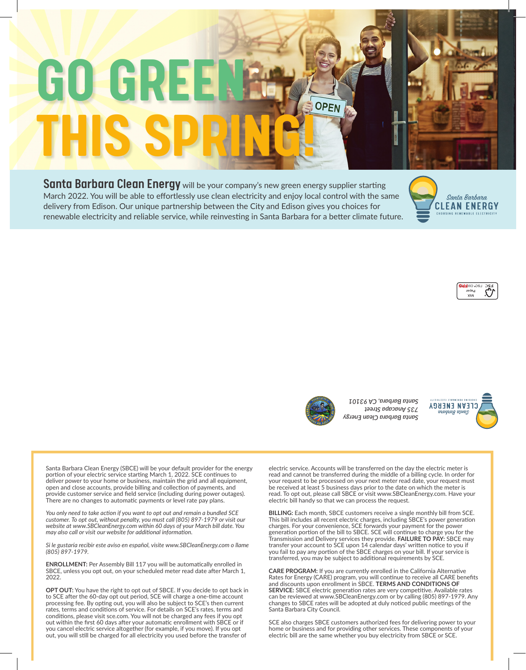# **GO GRE THIS SPRING!**

Santa Barbara Clean Energy will be your company's new green energy supplier starting March 2022. You will be able to effortlessly use clean electricity and enjoy local control with the same delivery from Edison. Our unique partnership between the City and Edison gives you choices for renewable electricity and reliable service, while reinvesting in Santa Barbara for a better climate future.







*Santa Barbara Clean Energy 735 Anacapa Street Santa Barbara, CA 93101* **<sup>N</sup><sup>R</sup> <sup>O</sup>F<sup>I</sup>**



Santa Barbara Clean Energy (SBCE) will be your default provider for the energy portion of your electric service starting March 1, 2022. SCE continues to deliver power to your home or business, maintain the grid and all equipment, open and close accounts, provide billing and collection of payments, and provide customer service and field service (including during power outages). There are no changes to automatic payments or level rate pay plans.

*You only need to take action if you want to opt out and remain a bundled SCE customer. To opt out, without penalty, you must call (805) 897-1979 or visit our website at www.SBCleanEnergy.com within 60 days of your March bill date. You may also call or visit our website for additional information.*

*Si le gustaría recibir este aviso en español, visite www.SBCleanEnergy.com o llame (805) 897-1979.*

**ENROLLMENT:** Per Assembly Bill 117 you will be automatically enrolled in SBCE, unless you opt out, on your scheduled meter read date after March 1, 2022.

**OPT OUT:** You have the right to opt out of SBCE. If you decide to opt back in to SCE after the 60-day opt out period, SCE will charge a one-time account processing fee. By opting out, you will also be subject to SCE's then current rates, terms and conditions of service. For details on SCE's rates, terms and conditions, please visit sce.com. You will not be charged any fees if you opt out within the first 60 days after your automatic enrollment with SBCE or if you cancel electric service altogether (for example, if you move). If you opt out, you will still be charged for all electricity you used before the transfer of

electric service. Accounts will be transferred on the day the electric meter is read and cannot be transferred during the middle of a billing cycle. In order for your request to be processed on your next meter read date, your request must be received at least 5 business days prior to the date on which the meter is read. To opt out, please call SBCE or visit www.SBCleanEnergy.com. Have your electric bill handy so that we can process the request.

**BILLING:** Each month, SBCE customers receive a single monthly bill from SCE. This bill includes all recent electric charges, including SBCE's power generation charges. For your convenience, SCE forwards your payment for the power generation portion of the bill to SBCE. SCE will continue to charge you for the Transmission and Delivery services they provide. **FAILURE TO PAY:** SBCE may transfer your account to SCE upon 14 calendar days' written notice to you if you fail to pay any portion of the SBCE charges on your bill. If your service is transferred, you may be subject to additional requirements by SCE.

**CARE PROGRAM:** If you are currently enrolled in the California Alternative Rates for Energy (CARE) program, you will continue to receive all CARE benefits and discounts upon enrollment in SBCE. **TERMS AND CONDITIONS OF SERVICE:** SBCE electric generation rates are very competitive. Available rates can be reviewed at www.SBCleanEnergy.com or by calling (805) 897-1979. Any changes to SBCE rates will be adopted at duly noticed public meetings of the Santa Barbara City Council.

SCE also charges SBCE customers authorized fees for delivering power to your home or business and for providing other services. These components of your electric bill are the same whether you buy electricity from SBCE or SCE.